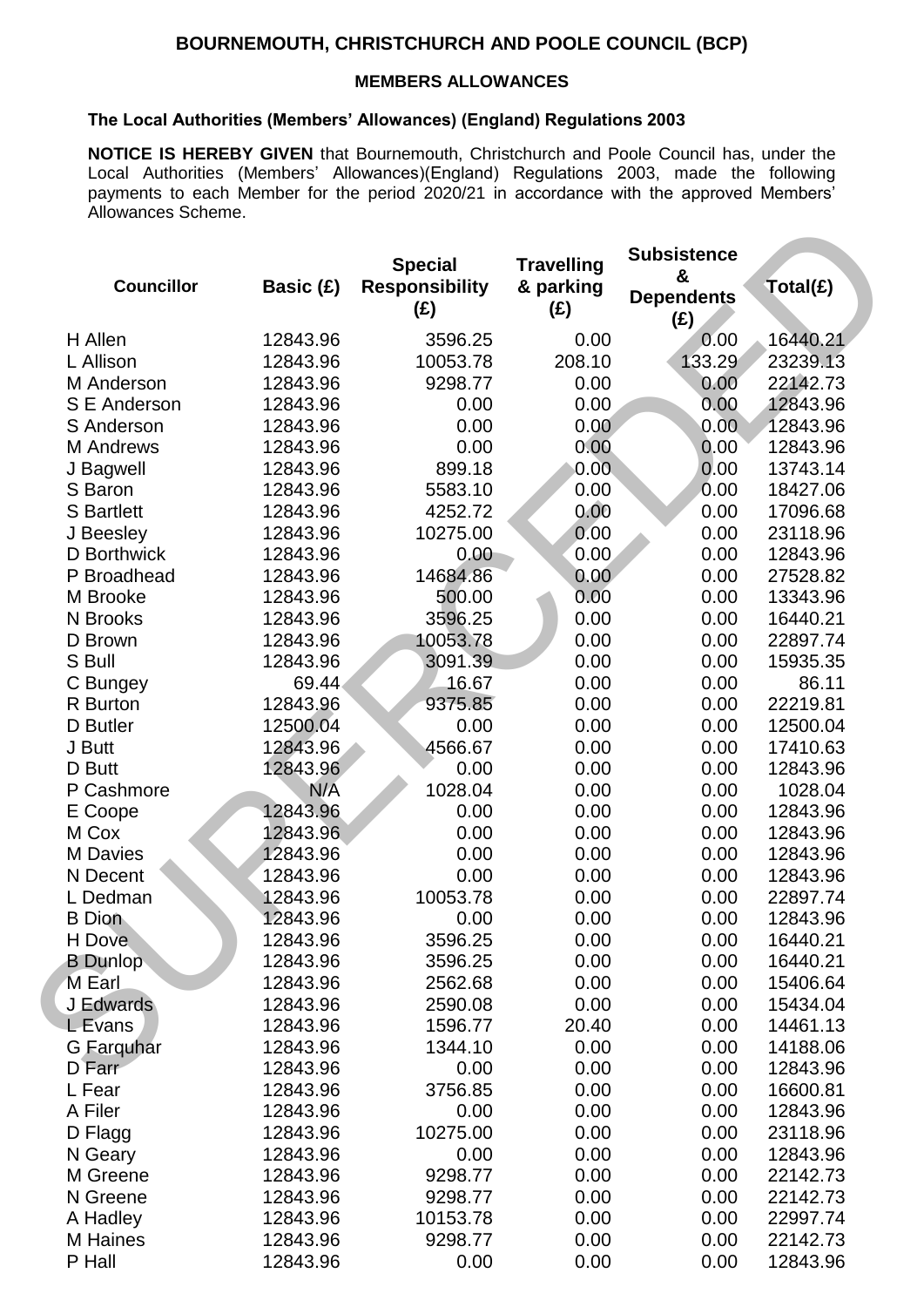## **BOURNEMOUTH, CHRISTCHURCH AND POOLE COUNCIL (BCP)**

## **MEMBERS ALLOWANCES**

## **The Local Authorities (Members' Allowances) (England) Regulations 2003**

**NOTICE IS HEREBY GIVEN** that Bournemouth, Christchurch and Poole Council has, under the Local Authorities (Members' Allowances)(England) Regulations 2003, made the following payments to each Member for the period 2020/21 in accordance with the approved Members' Allowances Scheme.

|                           |                      | <b>Special</b>               | <b>Travelling</b> | <b>Subsistence</b><br>&  |          |
|---------------------------|----------------------|------------------------------|-------------------|--------------------------|----------|
| <b>Councillor</b>         | Basic (£)            | <b>Responsibility</b><br>(£) | & parking<br>(E)  | <b>Dependents</b><br>(E) | Total(£) |
| H Allen                   | 12843.96             | 3596.25                      | 0.00              | 0.00                     | 16440.21 |
| L Allison                 | 12843.96             | 10053.78                     | 208.10            | 133.29                   | 23239.13 |
| M Anderson                | 12843.96             | 9298.77                      | 0.00              | 0.00                     | 22142.73 |
| S E Anderson              | 12843.96             | 0.00                         | 0.00              | 0.00                     | 12843.96 |
| S Anderson                | 12843.96             | 0.00                         | 0.00              | 0.00                     | 12843.96 |
| M Andrews                 | 12843.96             | 0.00                         | 0.00              | 0.00                     | 12843.96 |
| J Bagwell                 | 12843.96             | 899.18                       | 0.00              | 0.00                     | 13743.14 |
| S Baron                   | 12843.96             | 5583.10                      | 0.00              | 0.00                     | 18427.06 |
| <b>S</b> Bartlett         | 12843.96             | 4252.72                      | 0.00              | 0.00                     | 17096.68 |
| J Beesley                 | 12843.96             | 10275.00                     | 0.00              | 0.00                     | 23118.96 |
| D Borthwick               | 12843.96             | 0.00                         | 0.00              | 0.00                     | 12843.96 |
| P Broadhead               | 12843.96             | 14684.86                     | 0.00              | 0.00                     | 27528.82 |
| M Brooke                  | 12843.96             | 500.00                       | 0.00              | 0.00                     | 13343.96 |
| N Brooks                  | 12843.96             | 3596.25                      | 0.00              | 0.00                     | 16440.21 |
| D Brown                   | 12843.96             | 10053.78                     | 0.00              | 0.00                     | 22897.74 |
| S Bull                    | 12843.96             | 3091.39                      | 0.00              | 0.00                     | 15935.35 |
| C Bungey                  | 69.44                | 16.67                        | 0.00              | 0.00                     | 86.11    |
| R Burton                  | 12843.96             | 9375.85                      | 0.00              | 0.00                     | 22219.81 |
| D Butler                  | 12500.04             | 0.00                         | 0.00              | 0.00                     | 12500.04 |
| J Butt                    | 12843.96             | 4566.67                      | 0.00              | 0.00                     | 17410.63 |
| D Butt                    | 12843.96             | 0.00                         | 0.00              | 0.00                     | 12843.96 |
| P Cashmore                | N/A                  | 1028.04                      | 0.00              | 0.00                     | 1028.04  |
| E Coope                   | 12843.96             | 0.00                         | 0.00              | 0.00                     | 12843.96 |
| M Cox                     | 12843.96             | 0.00                         | 0.00              | 0.00                     | 12843.96 |
| M Davies                  | 12843.96             | 0.00                         | 0.00              | 0.00                     | 12843.96 |
| N Decent                  | 12843.96             | 0.00                         | 0.00              | 0.00                     | 12843.96 |
| L Dedman                  | 12843.96             | 10053.78                     | 0.00              | 0.00                     | 22897.74 |
|                           | 12843.96             | 0.00                         | 0.00              | 0.00                     | 12843.96 |
| <b>B</b> Dion             |                      |                              |                   |                          | 16440.21 |
| H Dove<br><b>B</b> Dunlop | 12843.96<br>12843.96 | 3596.25<br>3596.25           | 0.00<br>0.00      | 0.00<br>0.00             | 16440.21 |
| M Earl                    | 12843.96             | 2562.68                      | 0.00              | 0.00                     | 15406.64 |
| J Edwards                 |                      |                              | 0.00              | 0.00                     |          |
|                           | 12843.96             | 2590.08                      |                   |                          | 15434.04 |
| <b>L</b> Evans            | 12843.96             | 1596.77                      | 20.40             | 0.00                     | 14461.13 |
| G Farquhar                | 12843.96             | 1344.10                      | 0.00              | 0.00                     | 14188.06 |
| $D$ Farr                  | 12843.96             | 0.00                         | 0.00              | 0.00                     | 12843.96 |
| L Fear                    | 12843.96             | 3756.85                      | 0.00              | 0.00                     | 16600.81 |
| A Filer                   | 12843.96             | 0.00                         | 0.00              | 0.00                     | 12843.96 |
| D Flagg                   | 12843.96             | 10275.00                     | 0.00              | 0.00                     | 23118.96 |
| N Geary                   | 12843.96             | 0.00                         | 0.00              | 0.00                     | 12843.96 |
| M Greene                  | 12843.96             | 9298.77                      | 0.00              | 0.00                     | 22142.73 |
| N Greene                  | 12843.96             | 9298.77                      | 0.00              | 0.00                     | 22142.73 |
| A Hadley                  | 12843.96             | 10153.78                     | 0.00              | 0.00                     | 22997.74 |
| M Haines                  | 12843.96             | 9298.77                      | 0.00              | 0.00                     | 22142.73 |
| P Hall                    | 12843.96             | 0.00                         | 0.00              | 0.00                     | 12843.96 |